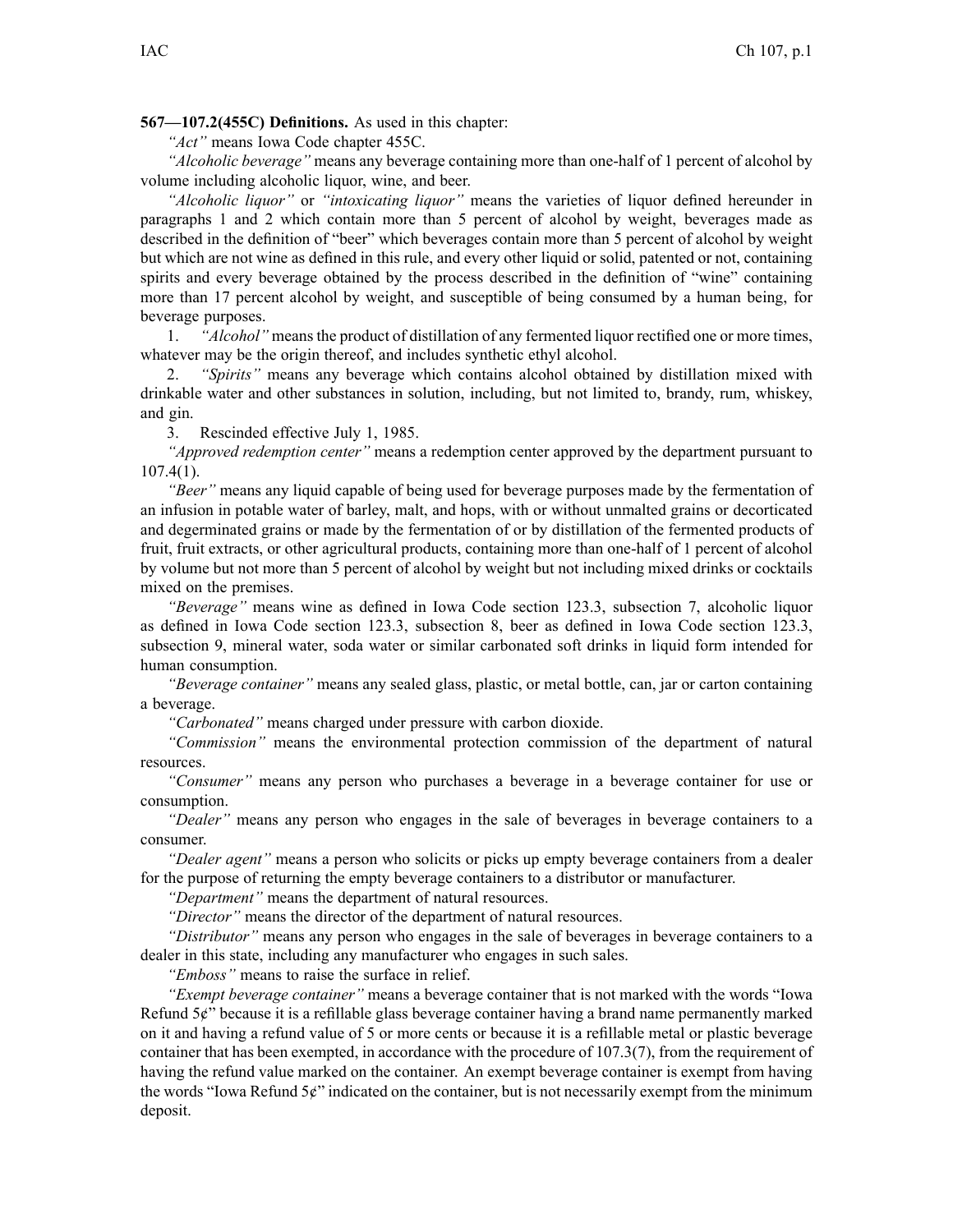**567—107.2(455C) Definitions.** As used in this chapter:

*"Act"* means Iowa Code chapter 455C.

*"Alcoholic beverage"* means any beverage containing more than one-half of 1 percen<sup>t</sup> of alcohol by volume including alcoholic liquor, wine, and beer.

*"Alcoholic liquor"* or *"intoxicating liquor"* means the varieties of liquor defined hereunder in paragraphs 1 and 2 which contain more than 5 percen<sup>t</sup> of alcohol by weight, beverages made as described in the definition of "beer" which beverages contain more than 5 percen<sup>t</sup> of alcohol by weight but which are not wine as defined in this rule, and every other liquid or solid, patented or not, containing spirits and every beverage obtained by the process described in the definition of "wine" containing more than 17 percen<sup>t</sup> alcohol by weight, and susceptible of being consumed by <sup>a</sup> human being, for beverage purposes.

1. *"Alcohol"* means the product of distillation of any fermented liquor rectified one or more times, whatever may be the origin thereof, and includes synthetic ethyl alcohol.

2. *"Spirits"* means any beverage which contains alcohol obtained by distillation mixed with drinkable water and other substances in solution, including, but not limited to, brandy, rum, whiskey, and gin.

3. Rescinded effective July 1, 1985.

*"Approved redemption center"* means <sup>a</sup> redemption center approved by the department pursuan<sup>t</sup> to  $107.4(1)$ .

*"Beer"* means any liquid capable of being used for beverage purposes made by the fermentation of an infusion in potable water of barley, malt, and hops, with or without unmalted grains or decorticated and degerminated grains or made by the fermentation of or by distillation of the fermented products of fruit, fruit extracts, or other agricultural products, containing more than one-half of 1 percen<sup>t</sup> of alcohol by volume but not more than 5 percen<sup>t</sup> of alcohol by weight but not including mixed drinks or cocktails mixed on the premises.

*"Beverage"* means wine as defined in Iowa Code section 123.3, subsection 7, alcoholic liquor as defined in Iowa Code section 123.3, subsection 8, beer as defined in Iowa Code section 123.3, subsection 9, mineral water, soda water or similar carbonated soft drinks in liquid form intended for human consumption.

*"Beverage container"* means any sealed glass, plastic, or metal bottle, can, jar or carton containing <sup>a</sup> beverage.

*"Carbonated"* means charged under pressure with carbon dioxide.

*"Commission"* means the environmental protection commission of the department of natural resources.

*"Consumer"* means any person who purchases <sup>a</sup> beverage in <sup>a</sup> beverage container for use or consumption.

*"Dealer"* means any person who engages in the sale of beverages in beverage containers to a consumer.

*"Dealer agent"* means <sup>a</sup> person who solicits or picks up empty beverage containers from <sup>a</sup> dealer for the purpose of returning the empty beverage containers to <sup>a</sup> distributor or manufacturer.

*"Department"* means the department of natural resources.

*"Director"* means the director of the department of natural resources.

*"Distributor"* means any person who engages in the sale of beverages in beverage containers to <sup>a</sup> dealer in this state, including any manufacturer who engages in such sales.

*"Emboss"* means to raise the surface in relief.

*"Exempt beverage container"* means <sup>a</sup> beverage container that is not marked with the words "Iowa Refund 5¢" because it is <sup>a</sup> refillable glass beverage container having <sup>a</sup> brand name permanently marked on it and having <sup>a</sup> refund value of 5 or more cents or because it is <sup>a</sup> refillable metal or plastic beverage container that has been exempted, in accordance with the procedure of 107.3(7), from the requirement of having the refund value marked on the container. An exemp<sup>t</sup> beverage container is exemp<sup>t</sup> from having the words "Iowa Refund  $5¢$ " indicated on the container, but is not necessarily exempt from the minimum deposit.